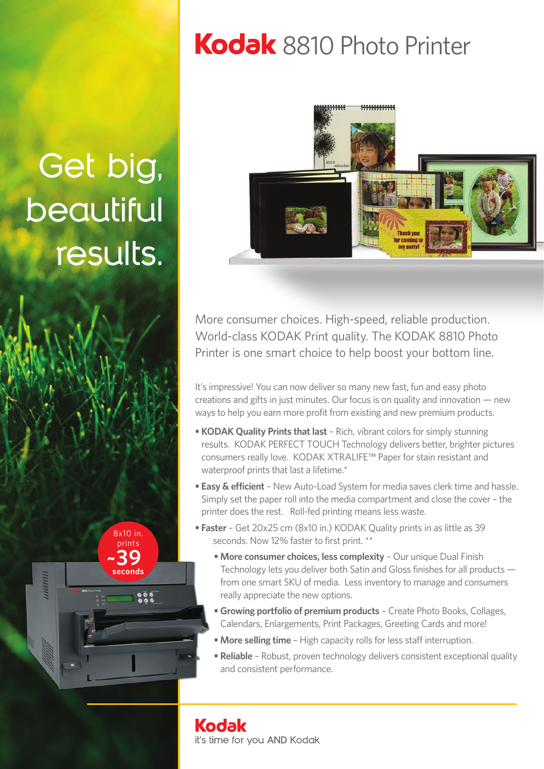# Kodak 8810 Photo Printer

**Get big,** 

**beautiful** 

**results.**

8x10 in. prints  **~39 seconds**



More consumer choices. High-speed, reliable production. World-class KODAK Print quality. The KODAK 8810 Photo Printer is one smart choice to help boost your bottom line.

It's impressive! You can now deliver so many new fast, fun and easy photo creations and gifts in just minutes. Our focus is on quality and innovation — new ways to help you earn more profit from existing and new premium products.

- **KODAK Quality Prints that last** Rich, vibrant colors for simply stunning results. KODAK PERFECT TOUCH Technology delivers better, brighter pictures consumers really love. KODAK XTRALIFE™ Paper for stain resistant and waterproof prints that last a lifetime.\*
- **Easy & efficient** New Auto-Load System for media saves clerk time and hassle. Simply set the paper roll into the media compartment and close the cover – the printer does the rest. Roll-fed printing means less waste.
- **Faster** Get 20x25 cm (8x10 in.) KODAK Quality prints in as little as 39 seconds. Now 12% faster to first print. \*\*
	- **More consumer choices, less complexity** Our unique Dual Finish Technology lets you deliver both Satin and Gloss finishes for all products from one smart SKU of media. Less inventory to manage and consumers really appreciate the new options.
	- **Growing portfolio of premium products** Create Photo Books, Collages, Calendars, Enlargements, Print Packages, Greeting Cards and more!
	- **More selling time**  High capacity rolls for less staff interruption.
	- **Reliable** Robust, proven technology delivers consistent exceptional quality and consistent performance.

**Kodak** it's time for you AND Kodak